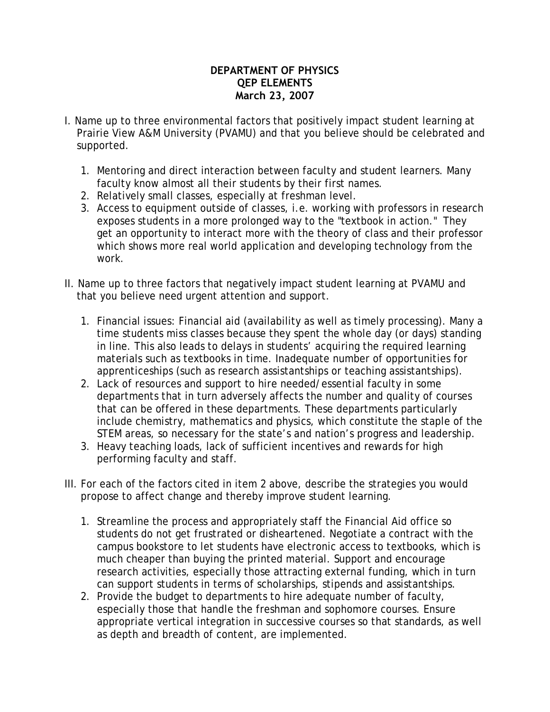## **DEPARTMENT OF PHYSICS QEP ELEMENTS March 23, 2007**

- I. Name up to three environmental factors that positively impact student learning at Prairie View A&M University (PVAMU) and that you believe should be celebrated and supported.
	- 1. Mentoring and direct interaction between faculty and student learners. Many faculty know almost all their students by their first names.
	- 2. Relatively small classes, especially at freshman level.
	- 3. Access to equipment outside of classes, i.e. working with professors in research exposes students in a more prolonged way to the "textbook in action." They get an opportunity to interact more with the theory of class and their professor which shows more real world application and developing technology from the work.
- II. Name up to three factors that negatively impact student learning at PVAMU and that you believe need urgent attention and support.
	- 1. Financial issues: Financial aid (availability as well as timely processing). Many a time students miss classes because they spent the whole day (or days) standing in line. This also leads to delays in students' acquiring the required learning materials such as textbooks in time. Inadequate number of opportunities for apprenticeships (such as research assistantships or teaching assistantships).
	- 2. Lack of resources and support to hire needed/essential faculty in some departments that in turn adversely affects the number and quality of courses that can be offered in these departments. These departments particularly include chemistry, mathematics and physics, which constitute the staple of the STEM areas, so necessary for the state's and nation's progress and leadership.
	- 3. Heavy teaching loads, lack of sufficient incentives and rewards for high performing faculty and staff.
- III. For each of the factors cited in item 2 above, describe the strategies you would propose to affect change and thereby improve student learning.
	- 1. Streamline the process and appropriately staff the Financial Aid office so students do not get frustrated or disheartened. Negotiate a contract with the campus bookstore to let students have electronic access to textbooks, which is much cheaper than buying the printed material. Support and encourage research activities, especially those attracting external funding, which in turn can support students in terms of scholarships, stipends and assistantships.
	- 2. Provide the budget to departments to hire adequate number of faculty, especially those that handle the freshman and sophomore courses. Ensure appropriate vertical integration in successive courses so that standards, as well as depth and breadth of content, are implemented.